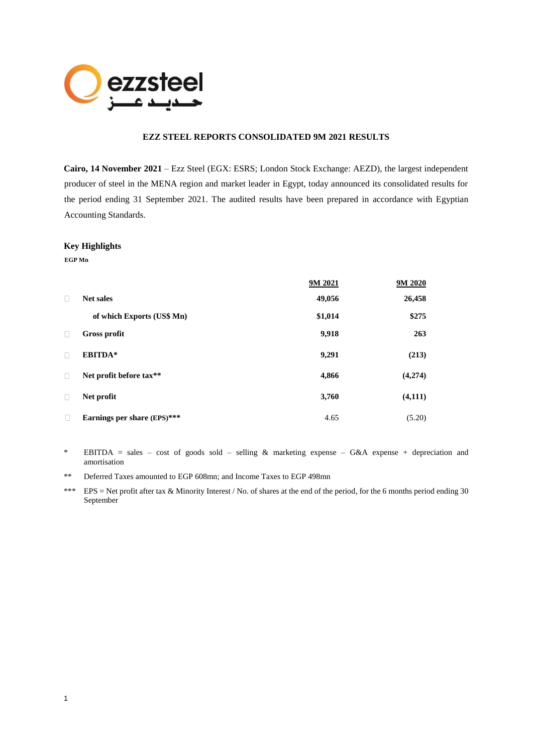

# **EZZ STEEL REPORTS CONSOLIDATED 9M 2021 RESULTS**

**Cairo, 14 November 2021** – Ezz Steel (EGX: ESRS; London Stock Exchange: AEZD), the largest independent producer of steel in the MENA region and market leader in Egypt, today announced its consolidated results for the period ending 31 September 2021. The audited results have been prepared in accordance with Egyptian Accounting Standards.

#### **Key Highlights**

**EGP Mn**

|        |                             | 9M 2021 | 9M 2020 |
|--------|-----------------------------|---------|---------|
| $\Box$ | <b>Net sales</b>            | 49,056  | 26,458  |
|        | of which Exports (US\$ Mn)  | \$1,014 | \$275   |
| $\Box$ | <b>Gross profit</b>         | 9,918   | 263     |
| $\Box$ | <b>EBITDA*</b>              | 9,291   | (213)   |
| П      | Net profit before tax**     | 4,866   | (4,274) |
| $\Box$ | Net profit                  | 3,760   | (4,111) |
| П      | Earnings per share (EPS)*** | 4.65    | (5.20)  |

- \* EBITDA = sales cost of goods sold selling & marketing expense G&A expense + depreciation and amortisation
- \*\* Deferred Taxes amounted to EGP 608mn; and Income Taxes to EGP 498mn
- \*\*\* EPS = Net profit after tax & Minority Interest / No. of shares at the end of the period, for the 6 months period ending 30 September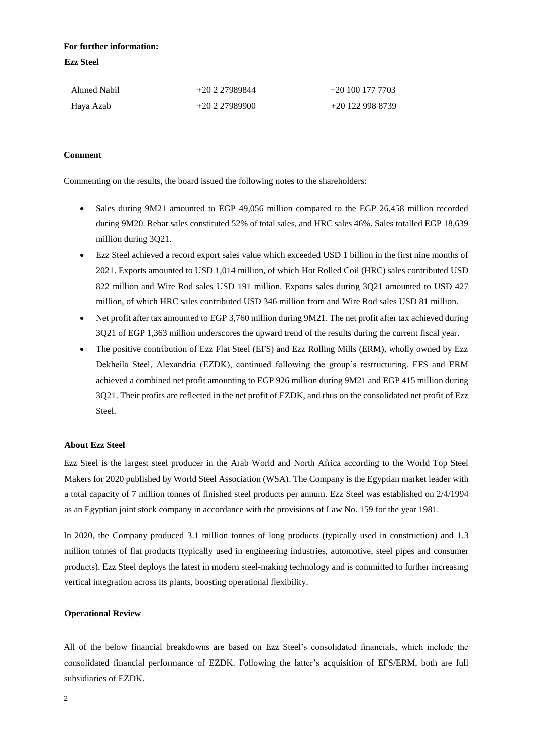# **For further information: Ezz Steel**

| Ahmed Nabil | $+20227989844$ | $+20$ 100 177 7703 |
|-------------|----------------|--------------------|
| Haya Azab   | $+20227989900$ | +20 122 998 8739   |

# **Comment**

Commenting on the results, the board issued the following notes to the shareholders:

- Sales during 9M21 amounted to EGP 49,056 million compared to the EGP 26,458 million recorded during 9M20. Rebar sales constituted 52% of total sales, and HRC sales 46%. Sales totalled EGP 18,639 million during 3Q21.
- Ezz Steel achieved a record export sales value which exceeded USD 1 billion in the first nine months of 2021. Exports amounted to USD 1,014 million, of which Hot Rolled Coil (HRC) sales contributed USD 822 million and Wire Rod sales USD 191 million. Exports sales during 3Q21 amounted to USD 427 million, of which HRC sales contributed USD 346 million from and Wire Rod sales USD 81 million.
- Net profit after tax amounted to EGP 3,760 million during 9M21. The net profit after tax achieved during 3Q21 of EGP 1,363 million underscores the upward trend of the results during the current fiscal year.
- The positive contribution of Ezz Flat Steel (EFS) and Ezz Rolling Mills (ERM), wholly owned by Ezz Dekheila Steel, Alexandria (EZDK), continued following the group's restructuring. EFS and ERM achieved a combined net profit amounting to EGP 926 million during 9M21 and EGP 415 million during 3Q21. Their profits are reflected in the net profit of EZDK, and thus on the consolidated net profit of Ezz Steel.

# **About Ezz Steel**

Ezz Steel is the largest steel producer in the Arab World and North Africa according to the World Top Steel Makers for 2020 published by World Steel Association (WSA). The Company is the Egyptian market leader with a total capacity of 7 million tonnes of finished steel products per annum. Ezz Steel was established on 2/4/1994 as an Egyptian joint stock company in accordance with the provisions of Law No. 159 for the year 1981.

In 2020, the Company produced 3.1 million tonnes of long products (typically used in construction) and 1.3 million tonnes of flat products (typically used in engineering industries, automotive, steel pipes and consumer products). Ezz Steel deploys the latest in modern steel-making technology and is committed to further increasing vertical integration across its plants, boosting operational flexibility.

# **Operational Review**

All of the below financial breakdowns are based on Ezz Steel's consolidated financials, which include the consolidated financial performance of EZDK. Following the latter's acquisition of EFS/ERM, both are full subsidiaries of EZDK.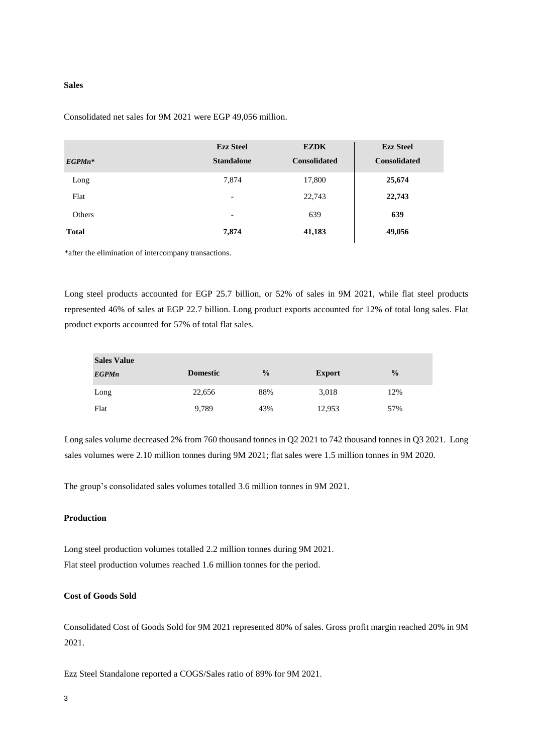#### **Sales**

| $EGP M n^*$  | <b>Ezz Steel</b><br><b>Standalone</b> | <b>EZDK</b><br><b>Consolidated</b> | <b>Ezz Steel</b><br><b>Consolidated</b> |
|--------------|---------------------------------------|------------------------------------|-----------------------------------------|
| Long         | 7,874                                 | 17,800                             | 25,674                                  |
| Flat         | $\overline{\phantom{a}}$              | 22,743                             | 22,743                                  |
| Others       | $\overline{\phantom{a}}$              | 639                                | 639                                     |
| <b>Total</b> | 7,874                                 | 41,183                             | 49,056                                  |

Consolidated net sales for 9M 2021 were EGP 49,056 million.

\*after the elimination of intercompany transactions.

Long steel products accounted for EGP 25.7 billion, or 52% of sales in 9M 2021, while flat steel products represented 46% of sales at EGP 22.7 billion. Long product exports accounted for 12% of total long sales. Flat product exports accounted for 57% of total flat sales.

| <b>Sales Value</b> |                 |               |               |               |
|--------------------|-----------------|---------------|---------------|---------------|
| <b>EGPMn</b>       | <b>Domestic</b> | $\frac{0}{0}$ | <b>Export</b> | $\frac{0}{0}$ |
| Long               | 22,656          | 88%           | 3,018         | 12%           |
| Flat               | 9,789           | 43%           | 12,953        | 57%           |

Long sales volume decreased 2% from 760 thousand tonnes in Q2 2021 to 742 thousand tonnes in Q3 2021. Long sales volumes were 2.10 million tonnes during 9M 2021; flat sales were 1.5 million tonnes in 9M 2020.

The group's consolidated sales volumes totalled 3.6 million tonnes in 9M 2021.

### **Production**

Long steel production volumes totalled 2.2 million tonnes during 9M 2021. Flat steel production volumes reached 1.6 million tonnes for the period.

# **Cost of Goods Sold**

Consolidated Cost of Goods Sold for 9M 2021 represented 80% of sales. Gross profit margin reached 20% in 9M 2021.

Ezz Steel Standalone reported a COGS/Sales ratio of 89% for 9M 2021.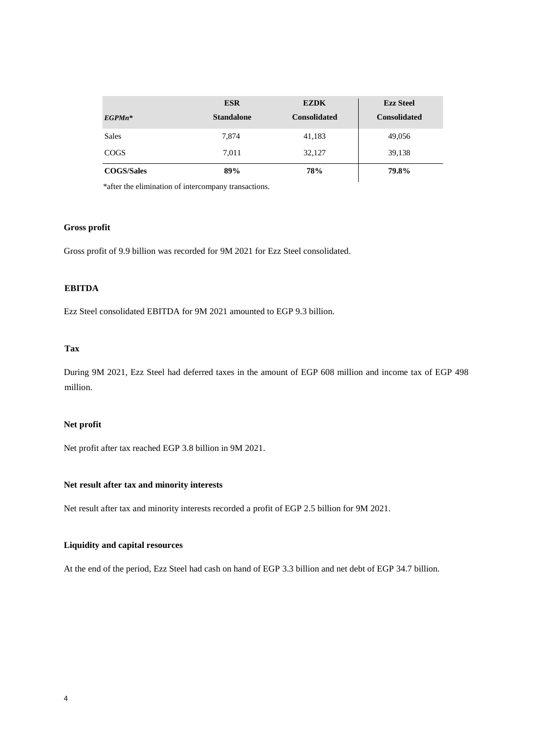|                   | <b>ESR</b>        | <b>EZDK</b>         | <b>Ezz Steel</b>    |
|-------------------|-------------------|---------------------|---------------------|
| $EGP M n^*$       | <b>Standalone</b> | <b>Consolidated</b> | <b>Consolidated</b> |
| Sales             | 7,874             | 41,183              | 49,056              |
| <b>COGS</b>       | 7,011             | 32,127              | 39,138              |
| <b>COGS/Sales</b> | 89%               | 78%                 | 79.8%               |

\*after the elimination of intercompany transactions.

# **Gross profit**

Gross profit of 9.9 billion was recorded for 9M 2021 for Ezz Steel consolidated.

# **EBITDA**

Ezz Steel consolidated EBITDA for 9M 2021 amounted to EGP 9.3 billion.

# **Tax**

During 9M 2021, Ezz Steel had deferred taxes in the amount of EGP 608 million and income tax of EGP 498 million.

# **Net profit**

Net profit after tax reached EGP 3.8 billion in 9M 2021.

### **Net result after tax and minority interests**

Net result after tax and minority interests recorded a profit of EGP 2.5 billion for 9M 2021.

# **Liquidity and capital resources**

At the end of the period, Ezz Steel had cash on hand of EGP 3.3 billion and net debt of EGP 34.7 billion.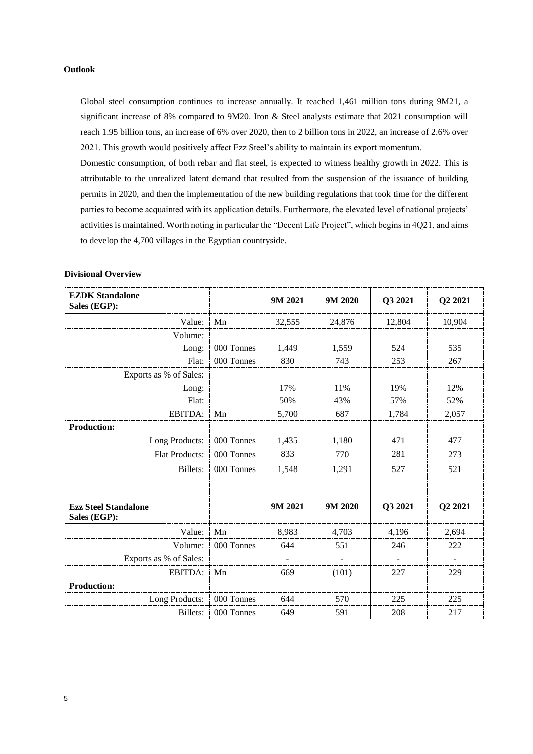### **Outlook**

Global steel consumption continues to increase annually. It reached 1,461 million tons during 9M21, a significant increase of 8% compared to 9M20. Iron & Steel analysts estimate that 2021 consumption will reach 1.95 billion tons, an increase of 6% over 2020, then to 2 billion tons in 2022, an increase of 2.6% over 2021. This growth would positively affect Ezz Steel's ability to maintain its export momentum.

Domestic consumption, of both rebar and flat steel, is expected to witness healthy growth in 2022. This is attributable to the unrealized latent demand that resulted from the suspension of the issuance of building permits in 2020, and then the implementation of the new building regulations that took time for the different parties to become acquainted with its application details. Furthermore, the elevated level of national projects' activities is maintained. Worth noting in particular the "Decent Life Project", which begins in 4Q21, and aims to develop the 4,700 villages in the Egyptian countryside.

| <b>EZDK Standalone</b><br>Sales (EGP):      |            | 9M 2021 | 9M 2020 | Q3 2021 | Q2 2021 |
|---------------------------------------------|------------|---------|---------|---------|---------|
| Value:                                      | Mn         | 32,555  | 24,876  | 12,804  | 10,904  |
| Volume:                                     |            |         |         |         |         |
| Long:                                       | 000 Tonnes | 1,449   | 1,559   | 524     | 535     |
| Flat:                                       | 000 Tonnes | 830     | 743     | 253     | 267     |
| Exports as % of Sales:                      |            |         |         |         |         |
| Long:                                       |            | 17%     | 11%     | 19%     | 12%     |
| Flat:                                       |            | 50%     | 43%     | 57%     | 52%     |
| EBITDA:                                     | Mn         | 5,700   | 687     | 1,784   | 2,057   |
| <b>Production:</b>                          |            |         |         |         |         |
| Long Products:                              | 000 Tonnes | 1,435   | 1,180   | 471     | 477     |
| <b>Flat Products:</b>                       | 000 Tonnes | 833     | 770     | 281     | 273     |
| Billets:                                    | 000 Tonnes | 1,548   | 1,291   | 527     | 521     |
| <b>Ezz Steel Standalone</b><br>Sales (EGP): |            | 9M 2021 | 9M 2020 | Q3 2021 | Q2 2021 |
| Value:                                      | Mn         | 8,983   | 4,703   | 4,196   | 2,694   |
| Volume:                                     | 000 Tonnes | 644     | 551     | 246     | 222     |
| Exports as % of Sales:                      |            |         |         |         |         |
| EBITDA:                                     | Mn         | 669     | (101)   | 227     | 229     |
| <b>Production:</b>                          |            |         |         |         |         |
| Long Products:                              | 000 Tonnes | 644     | 570     | 225     | 225     |
| <b>Billets:</b>                             | 000 Tonnes | 649     | 591     | 208     | 217     |

#### **Divisional Overview**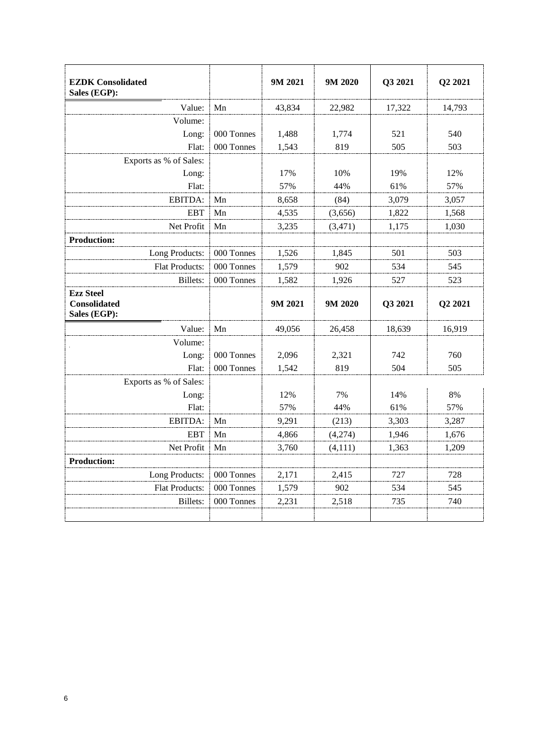| <b>EZDK</b> Consolidated<br>Sales (EGP):                |            | 9M 2021 | 9M 2020  | Q3 2021 | Q2 2021 |
|---------------------------------------------------------|------------|---------|----------|---------|---------|
| Value:                                                  | Mn         | 43,834  | 22,982   | 17,322  | 14,793  |
| Volume:                                                 |            |         |          |         |         |
| Long:                                                   | 000 Tonnes | 1,488   | 1,774    | 521     | 540     |
| Flat:                                                   | 000 Tonnes | 1,543   | 819      | 505     | 503     |
| Exports as % of Sales:                                  |            |         |          |         |         |
| Long:                                                   |            | 17%     | 10%      | 19%     | 12%     |
| Flat:                                                   |            | 57%     | 44%      | 61%     | 57%     |
| EBITDA:                                                 | Mn         | 8,658   | (84)     | 3,079   | 3,057   |
| <b>EBT</b>                                              | Mn         | 4,535   | (3,656)  | 1,822   | 1,568   |
| Net Profit                                              | Mn         | 3,235   | (3, 471) | 1,175   | 1,030   |
| <b>Production:</b>                                      |            |         |          |         |         |
| Long Products:                                          | 000 Tonnes | 1,526   | 1,845    | 501     | 503     |
| <b>Flat Products:</b>                                   | 000 Tonnes | 1,579   | 902      | 534     | 545     |
| Billets:                                                | 000 Tonnes | 1,582   | 1,926    | 527     | 523     |
| <b>Ezz Steel</b><br><b>Consolidated</b><br>Sales (EGP): |            | 9M 2021 | 9M 2020  | Q3 2021 | Q2 2021 |
| Value:                                                  | Mn         | 49,056  | 26,458   | 18,639  | 16,919  |
| Volume:                                                 |            |         |          |         |         |
| Long:                                                   | 000 Tonnes | 2,096   | 2,321    | 742     | 760     |
| Flat:                                                   | 000 Tonnes | 1,542   | 819      | 504     | 505     |
| Exports as % of Sales:                                  |            |         |          |         |         |
| Long:                                                   |            | 12%     | 7%       | 14%     | 8%      |
| Flat:                                                   |            | 57%     | 44%      | 61%     | 57%     |
| EBITDA:                                                 | Mn         | 9,291   | (213)    | 3,303   | 3,287   |
| <b>EBT</b>                                              | Mn         | 4,866   | (4,274)  | 1,946   | 1,676   |
| Net Profit                                              | Mn         | 3,760   | (4, 111) | 1,363   | 1,209   |
| <b>Production:</b>                                      |            |         |          |         |         |
| Long Products:                                          | 000 Tonnes | 2,171   | 2,415    | 727     | 728     |
| <b>Flat Products:</b>                                   | 000 Tonnes | 1,579   | 902      | 534     | 545     |
| <b>Billets:</b>                                         | 000 Tonnes | 2,231   | 2,518    | 735     | 740     |
|                                                         |            |         |          |         |         |